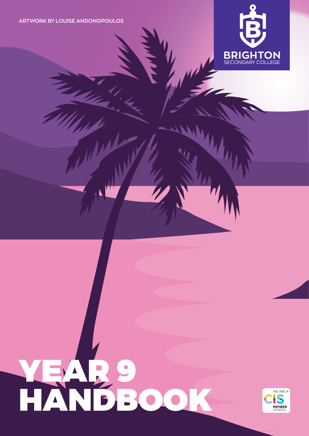**ARTWORK BY LOUISE ANDONOPOULOS** 

 $\sum_{i=1}^n$ 

The Company



# YEAR 9 HO

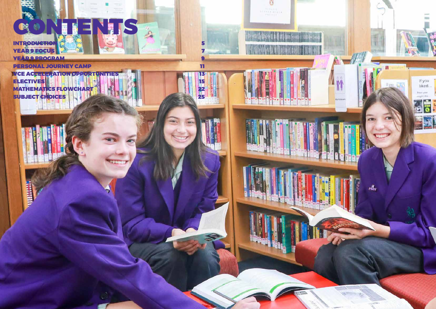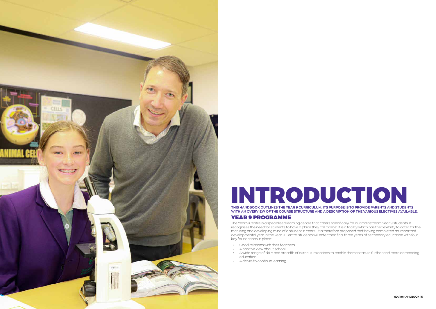<span id="page-2-0"></span>

# INTRODUCTION

**THIS HANDBOOK OUTLINES THE YEAR 9 CURRICULUM. ITS PURPOSE IS TO PROVIDE PARENTS AND STUDENTS WITH AN OVERVIEW OF THE COURSE STRUCTURE AND A DESCRIPTION OF THE VARIOUS ELECTIVES AVAILABLE.**

# YEAR 9 PROGRAMME

The Year 9 Centre is a specialised learning centre that caters specifically for our mainstream Year 9 students. It recognises the need for students to have a place they call 'home'. It is a facility which has the flexibility to cater for the maturing and developing mind of a student in Year 9. It is therefore proposed that having completed an important developmental year in the Year 9 Centre, students will enter their final three years of secondary education with four key foundations in place:

- Good relations with their teachers
- A positive view about school
- education
- A desire to continue learning



• A wide range of skills and breadth of curriculum options to enable them to tackle further and more demanding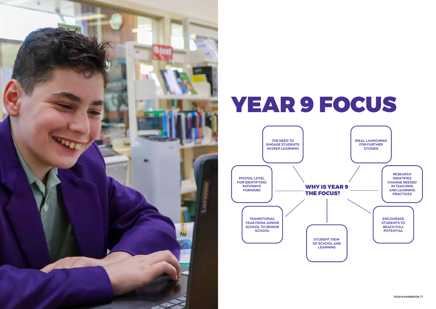<span id="page-3-0"></span>

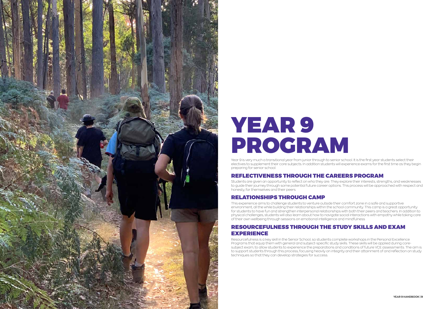<span id="page-4-0"></span>

# YEAR 9 PROGRAM

Year 9 is very much a transitional year from junior through to senior school. It is the first year students select their electives to supplement their core subjects. In addition students will experience exams for the first time as they begin preparing for senior school.

# REFLECTIVENESS THROUGH THE CAREERS PROGRAM

Students are given an opportunity to reflect on who they are. They explore their interests, strengths, and weaknesses to guide their journey through some potential future career options. This process will be approached with respect and honesty, for themselves and their peers

# RELATIONSHIPS THROUGH CAMP

This experience aims to challenge students to venture outside their comfort zone in a safe and supportive environment, all the while building their relationships within the school community. This camp is a great opportunity for students to have fun and strengthen interpersonal relationships with both their peers and teachers. In addition to physical challenges, students will also learn about how to navigate social interactions with empathy while taking care of their own wellbeing through sessions on emotional intelligence and mindfulness

# RESOURCEFULNESS THROUGH THE STUDY SKILLS AND EXAM EXPERIENCE

Resourcefulness is a key skill in the Senior School, so students complete workshops in the Personal Excellence Programs that equip them with general and subject-specific study skills. These skills will be applied during coresubject exam, to allow students to experience the preparations and conditions of future VCE assessments. The aim is to support students through this process, focusing heavily on integrity and their attainment of and reflection on study techniques so that they can develop strategies for success.

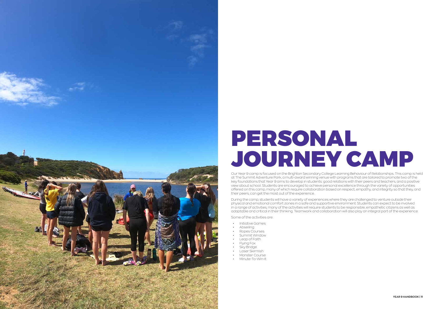<span id="page-5-0"></span>

# PERSONAL JOURNEY CAMP

Our Year 9 camp is focused on the Brighton Secondary College Learning Behaviour of Relationships. This camp is held at The Summit Adventure Park, a multi-award winning venue with programs that are tailored to promote two of the key foundations that Year 9 aims to develop in students: good relations with their peers and teachers, and a positive view about school. Students are encouraged to achieve personal excellence through the variety of opportunities offered on this camp, many of which require collaboration based on respect, empathy, and integrity so that they, and their peers, can get the most out of the experience.

During the camp, students will have a variety of experiences where they are challenged to venture outside their physical and emotional comfort zones in a safe and supportive environment. Students can expect to be involved in a range of activities, many of the activities will require students to be responsible, empathetic citizens as well as adaptable and critical in their thinking. Teamwork and collaboration will also play an integral part of the experience.

Some of the activities are:

- Initiative Games
- Abseiling
- Ropes Courses
- Summit Window
- Leap of Faith
- Flying Fox
- **Sky Bridge**
- Laser Skirmish
- Monster Course
- Minute-To-Win-It

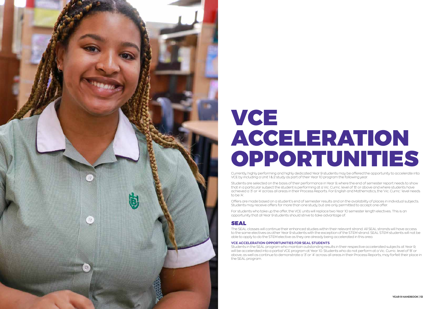<span id="page-6-0"></span>

# VCE ACCELERATION OPPORTUNITIES

Currently, highly performing and highly dedicated Year 9 students may be offered the opportunity to accelerate into VCE by including a Unit 1 & 2 study as part of their Year 10 program the following year.

Students are selected on the basis of their performance in Year 9, where the end of semester report needs to show that in a particular subject the student is performing at a Vic. Curric. level of 'B' or above and where students have achieved a '3' or '4' across all areas in their Process Reports. For English and Mathematics, the 'Vic. Curric.' level needs to be 'A'.

Offers are made based on a student's end of semester results and on the availability of places in individual subjects. Students may receive offers for more than one study, but are only permitted to accept one offer.

For students who take up the offer, the VCE units will replace two Year 10 semester length electives. This is an opportunity that all Year 9 students should strive to take advantage of.

# SEAL

The SEAL classes will continue their enhanced studies within their relevant strand. All SEAL strands will have access to the same electives as other Year 9 students with the exception of the STEM strand. SEAL STEM students will not be able to apply to do the STEM elective as they are already being accelerated in this area.

## **VCE ACCELERATION OPPORTUNITIES FOR SEAL STUDENTS**

Students in the SEAL program who maintain outstanding results in their respective accelerated subjects at Year 9, will be accelerated into a partial VCE program at Year 10. Students who do not perform at a Vic. Curric. level of 'B' or above, as well as continue to demonstrate a '3' or '4' across all areas in their Process Reports, may forfeit their place in the SEAL program.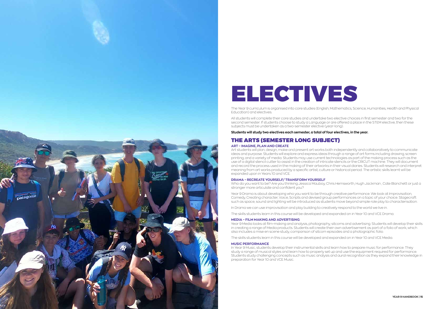<span id="page-7-0"></span>

# ELECTIVES

The Year 9 curriculum is organised into core studies (English, Mathematics, Science, Humanities, Health and Physical Education) and electives.

All students will complete their core studies and undertake two elective choices in first semester and two for the second semester. If students choose to study a Language or are offered a place in the STEM elective, then these subjects must be undertaken as a two-semester elective (year-long).

**Students will study two electives each semester, a total of four electives, in the year.**

## THE ARTS (SEMESTER LONG SUBJECT) **ART – IMAGINE, PLAN AND CREATE**

Art students will plan, design, make and present art works both independently and collaboratively to communicate ideas and purpose. Students will explore and express ideas through a range of art forms including drawing, screen printing, and a variety of media. Students may use current technologies as part of the making process such as the use of a digital stencil cutter to assist in the creation of intricate stencils or the CRICUT machine. They will document and record the process used in the making of their artworks in their visual diaries. Students will research and interpret meaning from art works produced by a specific artist, culture or historical period. The artistic skills learnt will be expanded upon in Years 10 and VCE.

## **DRAMA – RECREATE YOURSELF/ TRANSFORM YOURSELF**

Who do you want to be? Are you thinking Jessica Mauboy, Chris Hemsworth, Hugh Jackman , Cate Blanchett or just a stronger more articulate and confident you?

Year 9 Drama is about developing who you want to be through creative performance. We look at Improvisation, Comedy, Creating character, Voice, Scripts and devised group performances on a topic of your choice. Stagecraft such as space, sound and lighting will be introduced as students move beyond simple role play to characterisation.

In Drama we can use improvisation and play building to creatively respond to the world we live in.

The skills students learn in this course will be developed and expanded on in Year 10 and VCE Drama.

### **MEDIA – FILM MAKING AND ADVERTISING**

Year 9 Media looks at film-making and analysis, photography, sitcoms and advertising. Students will develop their skills in creating a range of Media products. Students will create their own advertisement as part of a folio of work, which also includes a mise en scene study, comparison of sitcom episodes and a photographic folio.

The skills students learn in this course will be developed and expanded on in Year 10 and VCE Media.

### **MUSIC PERFORMANCE**

In Year 9 Music, students develop their instrumental skills and learn how to prepare music for performance. They study a range of musical styles and learn how to properly set up and use the equipment required for performance. Students study challenging concepts such as music analysis and aural recognition as they expand their knowledge in preparation for Year 10 and VCE Music.

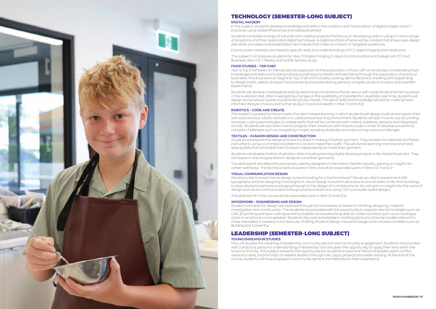

# TECHNOLOGY (SEMESTER-LONG SUBJECT)

### **DIGITAL IMAGERY**

In this subject, students develop knowledge and skills in the creation and manipulation of digital images and ICT practices using Adobe Photoshop and Adobe Illustrator.

Students complete a range of tutorials and creative projects that focus on developing skills in using ICT and a range of programs and their associated digital techniques. A digital portfolio of work will be created that showcases design elements, principles and presentation techniques that make an impact on targeted audiences.

Future career interests are linked to specific skills and understandings of ICT, digital imaging and media jobs.

This subject can prepare students for Year 10 Digital Imaging 2, Visual Communication and Design, Art, ICT and Business, Year 11 ICT, Media, and further tertiary study.

## **FOOD STUDIES – TOP CHEF**

Year 9 Top Chef takes an interdisciplinary approach to the exploration of food, with an emphasis on extending food knowledge and skills and building individual pathways to health and well-being through the application of practical food skills. Practical work is integral to Top Chef and includes cooking, demonstrations, creating and responding to design briefs, dietary analysis, food sampling and taste-testing, sensory analysis, product analysis and scientific experiments.

Students will develop investigative skills by examining convenience foods versus self-made foods and their purpose in the Australian diet. After investigating changes in the availability of ingredients in Australia over time, students will design and produce a pizza incorporating fusion foods. This set of skills and knowledge will lead to making more informed lifestyle choices and further study in Food and Health in Year 10 and VCE.

### **ROBOTICS – CODE AND CREATE.**

This subject is guided by the principle of project-based learning, in which students will design, build and program their own autonomous robotic vehicles in a collaborative learning environment. Students will learn how to use 3D printing and laser cutting technologies to create parts that will be combined with motors, batteries, sensors and integrated circuits. Students will also learn how to program their creations with Arduino code in order to develop solutions to complex challenges such as navigating a maze, avoiding obstacles and overcoming various challenges.

### **TEXTILES – FASHION DESIGN AND CONSTRUCTION**

Students will explore the design process involved in making a fashion garment. They will learn to interpret and follow instructions using a commercial pattern to cut and make their outfit. This will involve learning machine and hand sewing skills that will enable them to work independently to make their garment.

Students will develop fashion illustration skills including learning digital drawing programs like Adobe Illustrator. They will research and analyse fashion designers and their garments.

The skills learnt will reflect the processes used by designers in the fashion/textile industry, gaining an insight into career pathways. The technical skills acquired in this unit will be expanded upon in Years 10, 11 and 12.

### **VISUAL COMMUNICATION DESIGN**

Would you like to know how to design a new branding for a fashion house? Would you like to experiment with typography and the designing of pictograms. Visual Design is found in all products and all walks of life, from buildings to shop stores to perfume packaging through to the design of a mobile phone. You will gain an insight into the world of design and visual communication through practical work and using CAD (computer aided design).

The skills learnt in this course will be expanded upon in Year 10 and VCE.

### **WOODWORK – ENGINEERING AND DESIGN**

Student concepts for design are explored through the processes of research, drafting, designing, material investigation and construction. The students are provided with the opportunity to explore new technologies such as CAD, 3D printing and laser cutting as well as traditional woodworking skills to make a product such as an analogue clock or an iphone mono speaker. Students also gain knowledge in reading plans and drawing models relevant to those interested in careers in Architecture, Drafting, Product Design, Industrial Design and in traditional fields such as Building and Carpentry

## LEADERSHIP (SEMESTER-LONG SUBJECT) **YOUNG ENDEAVOUR STUDIES**

This unit studies the meaning of leadership, community service and community engagement. Students are provided with a practical, personal understanding of leadership and are given the opportunity to apply their skills within the local community. This subject presents the opportunity for students to examine historical leaders, learn conflict resolution skills, and the traits of resilient leaders through role- plays, projects and wider reading. At the end of the course, students will have engaged in community service and reflected on their experience.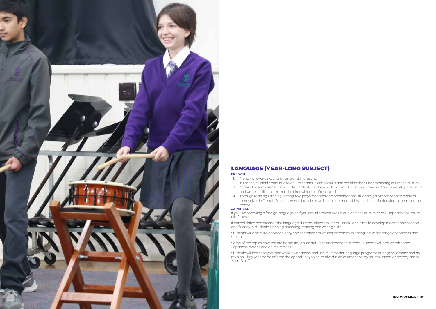

# LANGUAGE (YEAR-LONG SUBJECT)

## **FRENCH**

- 1. French is rewarding, challenging and interesting.
- 2. In French, students continue to aquire communication skills and develop their understanding of French culture.
- 3. At this stage, students consolidate and build on the vocabulary and grammar of years 7 and 8, develop their oral and written skills, and extend their knowledge of French culture.
- 4. Through reading, listening, writing, role plays, debates and presentations students gain more tools to express themselves in French. Topics covered include travelling, outdoor activities, health and holidaying in metropolitan france.

## **JAPANESE**

If you like speaking a foreign language or if you are interested in a unique and rich culture, Year 9 Japanese will cover all of these.

It consolidates and extends the language skills developed in years 7 and 8 and aims to develop more sophistication and fluency in students' listening, speaking, reading and writing skills.

Students will also build on vocabulary and sentence structures for communicating in a wider range of contexts and situations.

Some of the topics covered are home life, leisure activities and seasonal events. Students will also watch some Japanese movies and anime in class.

Students will learn to type their work in Japanese and use multimedia language programs during the lessons and as revision. They will also be offered the opportunity to be involved in an overseas study tour to Japan when they are in Year 10 or 11.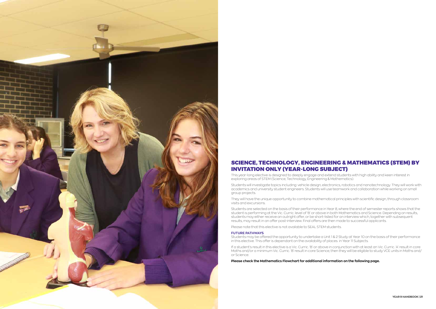

# SCIENCE, TECHNOLOGY, ENGINEERING & MATHEMATICS (STEM) BY INVITATION ONLY (YEAR-LONG SUBJECT)

This year-long elective is designed to deeply engage and extend students with high ability and keen interest in exploring areas of STEM (Science, Technology, Engineering & Mathematics).

Students will investigate topics including: vehicle design, electronics, robotics and nanotechnology. They will work with academics and university student engineers. Students will use teamwork and collaboration while working on small group projects.

They will have the unique opportunity to combine mathematical principles with scientific design, through classroom visits and excursions.

Students are selected on the basis of their performance in Year 8, where the end of semester reports shows that the student is performing at the Vic. Curric. level of 'B' or above in both Mathematics and Science. Depending on results, students may either receive an outright offer, or be short-listed for an interview which, together with subsequent results, may result in an offer post-interview. Final offers are then made to successful applicants.

Please note that this elective is not available to SEAL STEM students.

### **FUTURE PATHWAYS**

Students may be offered the opportunity to undertake a Unit 1 & 2 Study at Year 10 on the basis of their performance in this elective. This offer is dependant on the availability of places in Year 11 Subjects.

If a student's result in this elective is a Vic. Curric. 'B' or above in conjunction with at least an Vic. Curric. 'A' result in core Maths and/or a minimum Vic. Curric. 'B' result in core Science, then they will be eligible to study VCE units in Maths and/ or Science.

**Please check the Mathematics Flowchart for additional information on the following page.**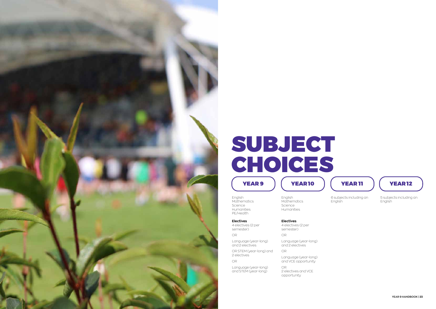English **Mathematics** Science Humanities PE/Health

**Electives** 4 electives (2 per semester)

OR

Language (year-long) and 2 electives

OR STEM (year-long) and 2 electives OR

Language (year-long) and STEM (year-long)

<span id="page-11-0"></span>

# YEAR 9 | (YEAR 10 ) (YEAR 11 ) (YEAR 12 SUBJECT CHOICES

English **Mathematics** Science Humanities

**Electives**

4 electives (2 per semester)

OR

Language (year-long) and 2 electives

OR

Language (year-long) and VCE opportunity

OR 2 electives and VCE opportunity



6 subjects including an English



5 subjects including an English